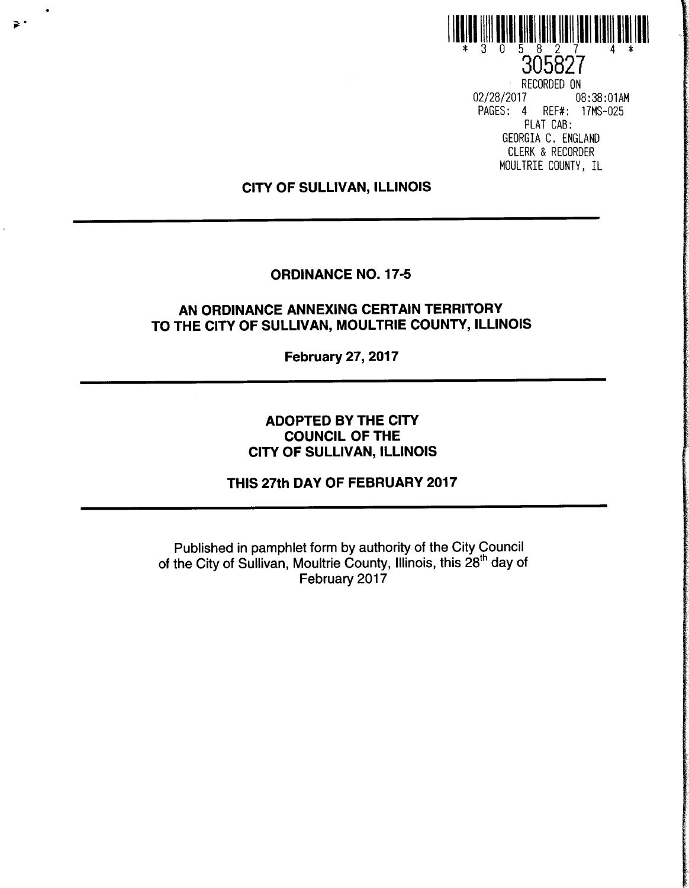

305827 RECORDED ON 02/28/2017 08:38:01AM PAGES: 4 REF#: 17MS-025 PLAT CAB: GEORGIA C. ENGLAND CLERK & RECORDER MOULTRIE COUNTY, IL

### CITY OF SULLIVAN, ILLINOIS

 $\geq$ 

### ORDINANCE NO. 17-5

## AN ORDINANCE ANNEXING CERTAIN TERRITORY TO THE CITY OF SULLIVAN, MOULTRIE COUNTY, ILLINOIS

February 27, 2017

# ADOPTED BY THE CITY COUNCIL OF THE CITY OF SULLIVAN, ILLINOIS

## THIS 27th DAY OF FEBRUARY 2017

Published in pamphlet form by authority of the City Council of the City of Sullivan, Moultrie County, Illinois, this 28<sup>th</sup> day of February 2017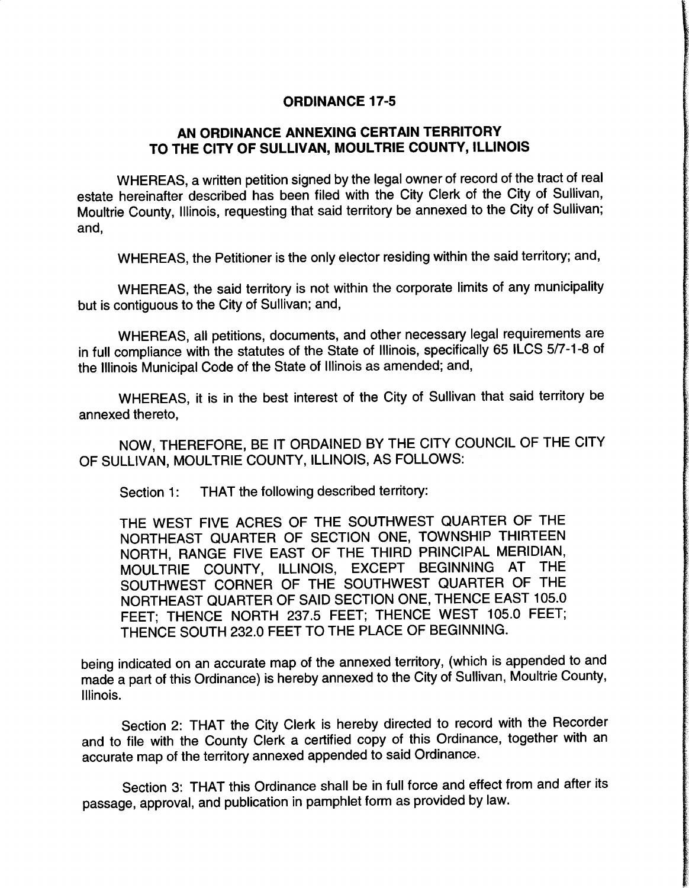#### ORDINANCE 17-5

## AN ORDINANCE ANNEXING CERTAIN TERRITORY TO THE CITY OF SULLIVAN, MOULTRIE COUNTY, ILLINOIS

WHEREAS, a written petition signed by the legal owner of record of the tract of real estate hereinafter described has been filed with the City Clerk of the City of Sullivan, Moultrie County, Illinois, requesting that said territory be annexed to the City of Sullivan; and,

WHEREAS, the Petitioner is the only elector residing within the said territory; and,

WHEREAS, the said territory is not within the corporate limits of any municipality but is contiguous to the City of Sullivan; and,

WHEREAS, all petitions, documents, and other necessary legal requirements are in full compliance with the statutes of the State of Illinois, specifically 65 ILCS 5/7-1-8 of the Illinois Municipal Code of the State of Illinois as amended; and,

WHEREAS, it is in the best interest of the City of Sullivan that said territory be annexed thereto,

NOW, THEREFORE, BE IT ORDAINED BY THE CITY COUNCIL OF THE CITY OF SULLIVAN, MOULTRIE COUNTY, ILLINOIS, AS FOLLOWS:

Section 1: THAT the following described territory:

THE WEST FIVE ACRES OF THE SOUTHWEST QUARTER OF THE NORTHEAST QUARTER OF SECTION ONE, TOWNSHIP THIRTEEN NORTH, RANGE FIVE EAST OF THE THIRD PRINCIPAL MERIDIAN, MOULTRIE COUNTY, ILLINOIS, EXCEPT BEGINNING AT THE SOUTHWEST CORNER OF THE SOUTHWEST QUARTER OF THE NORTHEAST QUARTER OF SAID SECTION ONE, THENCE EAST 105.0 FEET; THENCE NORTH 237.5 FEET; THENCE WEST 105.0 FEET; THENCE SOUTH 232.0 FEET TO THE PLACE OF BEGINNING.

being indicated on an accurate map of the annexed territory, (which is appended to and made a part of this Ordinance) is hereby annexed to the City of Sullivan, Moultrie County, Illinois.

Section 2: THAT the City Clerk is hereby directed to record with the Recorder and to file with the County Clerk a certified copy of this Ordinance, together with an accurate map of the territory annexed appended to said Ordinance.

Section 3: THAT this Ordinance shall be in full force and effect from and after its passage, approval, and publication in pamphlet form as provided by law.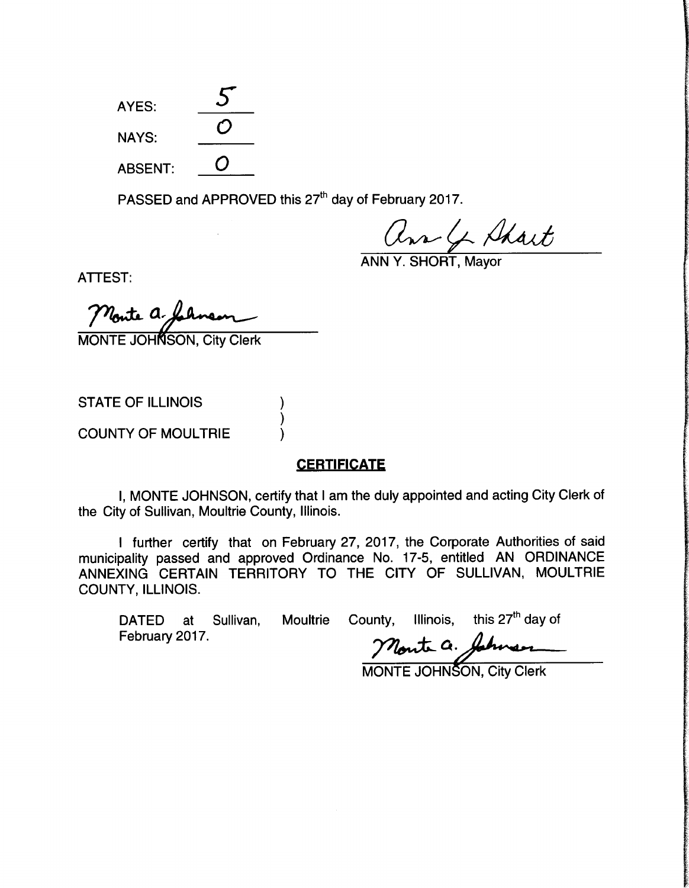AYES: NAYS: ABSENT:

PASSED and APPROVED this 27<sup>th</sup> day of February 2017.

ann Y. SHORT, Mayor

ATTEST:

Monte a.

**MONTE JOHNSON, City Clerk** 

STATE OF ILLINOIS

COUNTY OF MOULTRIE

#### **CERTIFICATE**

I, MONTE JOHNSON, certify that <sup>I</sup> am the duly appointed and acting City Clerk of the City of Sullivan, Moultrie County, Illinois.

<sup>I</sup> further certify that on February 27, 2017, the Corporate Authorities of said municipality passed and approved Ordinance No. 17-5, entitled AN ORDINANCE ANNEXING CERTAIN TERRITORY TO THE CITY OF SULLIVAN, MOULTRIE COUNTY, ILLINOIS.

February 2017.

DATED at Sullivan, Moultrie County, Illinois, this  $27<sup>th</sup>$  day of

Monte a. Johnson